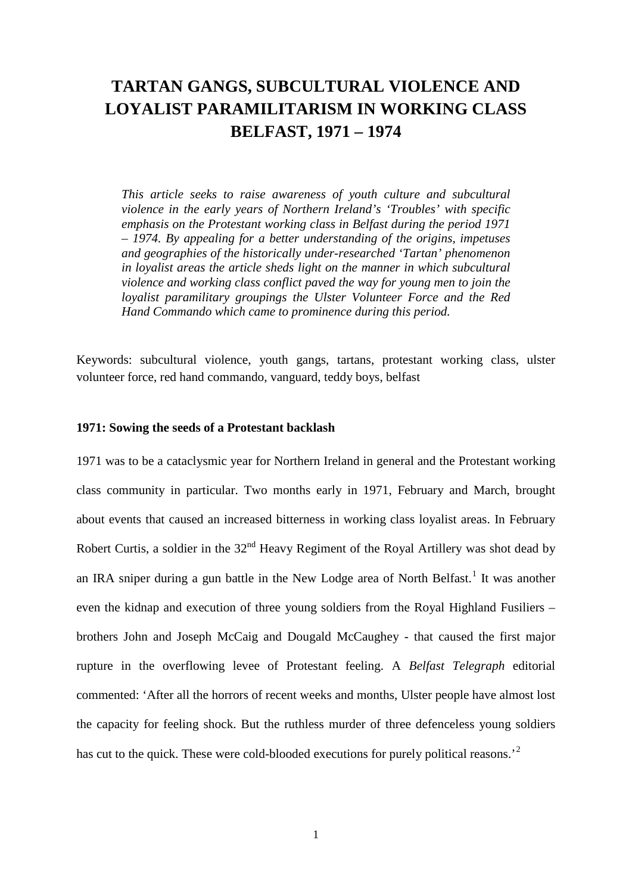# **TARTAN GANGS, SUBCULTURAL VIOLENCE AND LOYALIST PARAMILITARISM IN WORKING CLASS BELFAST, 1971 – 1974**

*This article seeks to raise awareness of youth culture and subcultural violence in the early years of Northern Ireland's 'Troubles' with specific emphasis on the Protestant working class in Belfast during the period 1971 – 1974. By appealing for a better understanding of the origins, impetuses and geographies of the historically under-researched 'Tartan' phenomenon in loyalist areas the article sheds light on the manner in which subcultural violence and working class conflict paved the way for young men to join the loyalist paramilitary groupings the Ulster Volunteer Force and the Red Hand Commando which came to prominence during this period.*

Keywords: subcultural violence, youth gangs, tartans, protestant working class, ulster volunteer force, red hand commando, vanguard, teddy boys, belfast

#### **1971: Sowing the seeds of a Protestant backlash**

1971 was to be a cataclysmic year for Northern Ireland in general and the Protestant working class community in particular. Two months early in 1971, February and March, brought about events that caused an increased bitterness in working class loyalist areas. In February Robert Curtis, a soldier in the  $32<sup>nd</sup>$  Heavy Regiment of the Royal Artillery was shot dead by an IRA sniper during a gun battle in the New Lodge area of North Belfast.<sup>[1](#page-27-0)</sup> It was another even the kidnap and execution of three young soldiers from the Royal Highland Fusiliers – brothers John and Joseph McCaig and Dougald McCaughey - that caused the first major rupture in the overflowing levee of Protestant feeling. A *Belfast Telegraph* editorial commented: 'After all the horrors of recent weeks and months, Ulster people have almost lost the capacity for feeling shock. But the ruthless murder of three defenceless young soldiers has cut to the quick. These were cold-blooded executions for purely political reasons.<sup>[2](#page-27-1)</sup>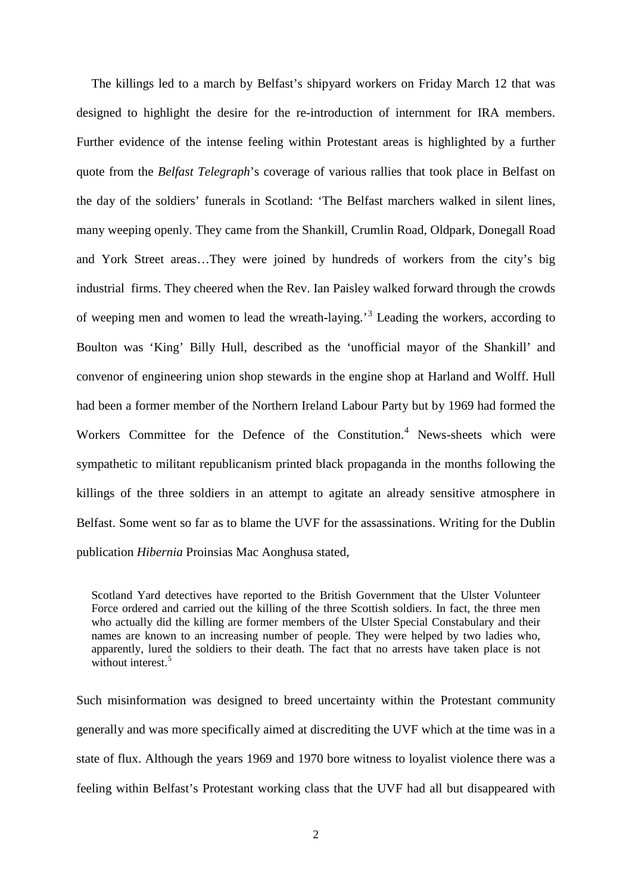The killings led to a march by Belfast's shipyard workers on Friday March 12 that was designed to highlight the desire for the re-introduction of internment for IRA members. Further evidence of the intense feeling within Protestant areas is highlighted by a further quote from the *Belfast Telegraph*'s coverage of various rallies that took place in Belfast on the day of the soldiers' funerals in Scotland: 'The Belfast marchers walked in silent lines, many weeping openly. They came from the Shankill, Crumlin Road, Oldpark, Donegall Road and York Street areas…They were joined by hundreds of workers from the city's big industrial firms. They cheered when the Rev. Ian Paisley walked forward through the crowds of weeping men and women to lead the wreath-laying.'[3](#page-28-0) Leading the workers, according to Boulton was 'King' Billy Hull, described as the 'unofficial mayor of the Shankill' and convenor of engineering union shop stewards in the engine shop at Harland and Wolff. Hull had been a former member of the Northern Ireland Labour Party but by 1969 had formed the Workers Committee for the Defence of the Constitution.<sup>[4](#page-28-1)</sup> News-sheets which were sympathetic to militant republicanism printed black propaganda in the months following the killings of the three soldiers in an attempt to agitate an already sensitive atmosphere in Belfast. Some went so far as to blame the UVF for the assassinations. Writing for the Dublin publication *Hibernia* Proinsias Mac Aonghusa stated,

Scotland Yard detectives have reported to the British Government that the Ulster Volunteer Force ordered and carried out the killing of the three Scottish soldiers. In fact, the three men who actually did the killing are former members of the Ulster Special Constabulary and their names are known to an increasing number of people. They were helped by two ladies who, apparently, lured the soldiers to their death. The fact that no arrests have taken place is not without interest  $5$ 

Such misinformation was designed to breed uncertainty within the Protestant community generally and was more specifically aimed at discrediting the UVF which at the time was in a state of flux. Although the years 1969 and 1970 bore witness to loyalist violence there was a feeling within Belfast's Protestant working class that the UVF had all but disappeared with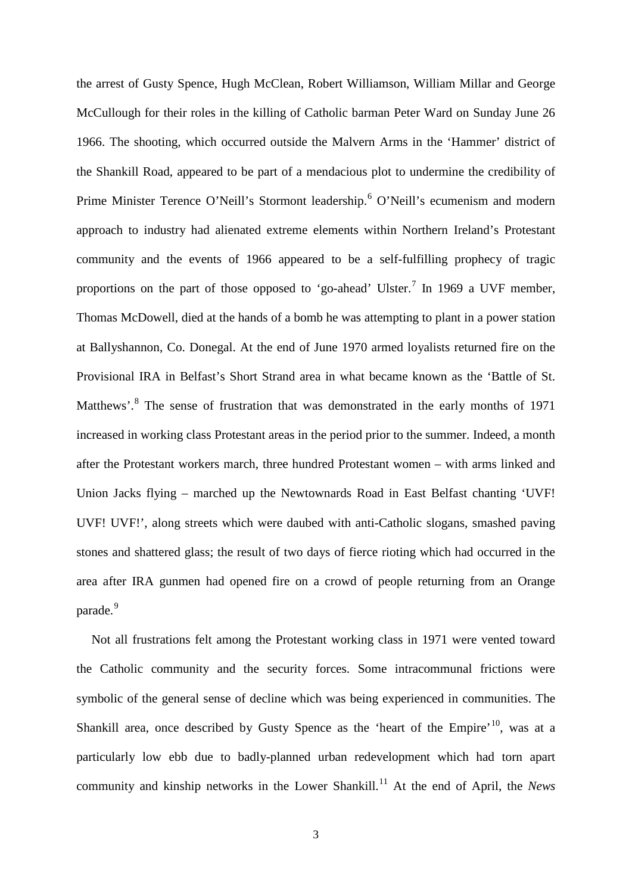the arrest of Gusty Spence, Hugh McClean, Robert Williamson, William Millar and George McCullough for their roles in the killing of Catholic barman Peter Ward on Sunday June 26 1966. The shooting, which occurred outside the Malvern Arms in the 'Hammer' district of the Shankill Road, appeared to be part of a mendacious plot to undermine the credibility of Prime Minister Terence O'Neill's Stormont leadership.<sup>[6](#page-28-3)</sup> O'Neill's ecumenism and modern approach to industry had alienated extreme elements within Northern Ireland's Protestant community and the events of 1966 appeared to be a self-fulfilling prophecy of tragic proportions on the part of those opposed to 'go-ahead' Ulster.<sup>[7](#page-28-4)</sup> In 1969 a UVF member, Thomas McDowell, died at the hands of a bomb he was attempting to plant in a power station at Ballyshannon, Co. Donegal. At the end of June 1970 armed loyalists returned fire on the Provisional IRA in Belfast's Short Strand area in what became known as the 'Battle of St. Matthews'.[8](#page-28-5) The sense of frustration that was demonstrated in the early months of 1971 increased in working class Protestant areas in the period prior to the summer. Indeed, a month after the Protestant workers march, three hundred Protestant women – with arms linked and Union Jacks flying – marched up the Newtownards Road in East Belfast chanting 'UVF! UVF! UVF!', along streets which were daubed with anti-Catholic slogans, smashed paving stones and shattered glass; the result of two days of fierce rioting which had occurred in the area after IRA gunmen had opened fire on a crowd of people returning from an Orange parade.<sup>[9](#page-28-6)</sup>

Not all frustrations felt among the Protestant working class in 1971 were vented toward the Catholic community and the security forces. Some intracommunal frictions were symbolic of the general sense of decline which was being experienced in communities. The Shankill area, once described by Gusty Spence as the 'heart of the Empire'<sup>[10](#page-28-7)</sup>, was at a particularly low ebb due to badly-planned urban redevelopment which had torn apart community and kinship networks in the Lower Shankill.<sup>[11](#page-28-8)</sup> At the end of April, the *News*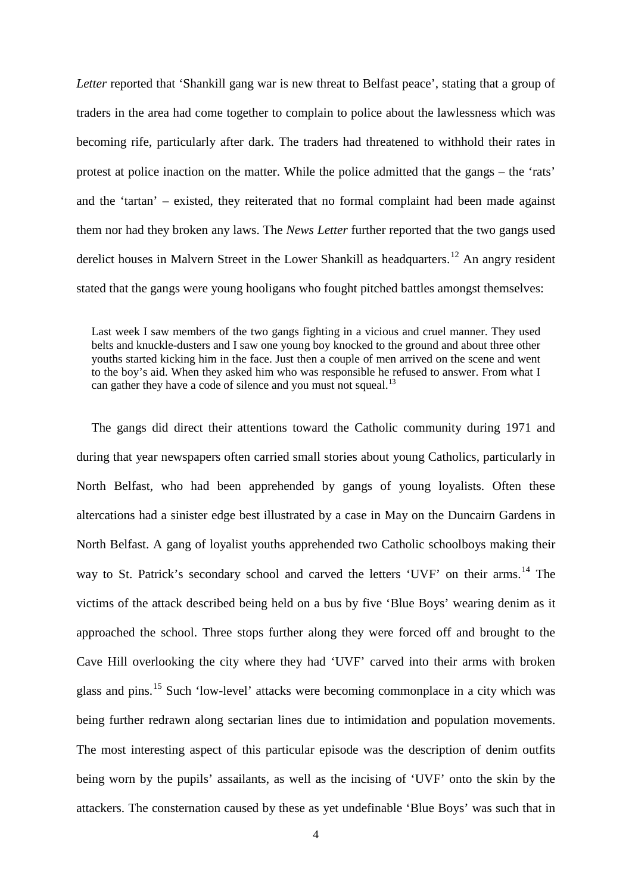*Letter* reported that 'Shankill gang war is new threat to Belfast peace', stating that a group of traders in the area had come together to complain to police about the lawlessness which was becoming rife, particularly after dark. The traders had threatened to withhold their rates in protest at police inaction on the matter. While the police admitted that the gangs – the 'rats' and the 'tartan' – existed, they reiterated that no formal complaint had been made against them nor had they broken any laws. The *News Letter* further reported that the two gangs used derelict houses in Malvern Street in the Lower Shankill as headquarters.<sup>[12](#page-28-9)</sup> An angry resident stated that the gangs were young hooligans who fought pitched battles amongst themselves:

Last week I saw members of the two gangs fighting in a vicious and cruel manner. They used belts and knuckle-dusters and I saw one young boy knocked to the ground and about three other youths started kicking him in the face. Just then a couple of men arrived on the scene and went to the boy's aid. When they asked him who was responsible he refused to answer. From what I can gather they have a code of silence and you must not squeal.<sup>[13](#page-28-10)</sup>

The gangs did direct their attentions toward the Catholic community during 1971 and during that year newspapers often carried small stories about young Catholics, particularly in North Belfast, who had been apprehended by gangs of young loyalists. Often these altercations had a sinister edge best illustrated by a case in May on the Duncairn Gardens in North Belfast. A gang of loyalist youths apprehended two Catholic schoolboys making their way to St. Patrick's secondary school and carved the letters 'UVF' on their arms.<sup>[14](#page-28-11)</sup> The victims of the attack described being held on a bus by five 'Blue Boys' wearing denim as it approached the school. Three stops further along they were forced off and brought to the Cave Hill overlooking the city where they had 'UVF' carved into their arms with broken glass and pins.[15](#page-28-12) Such 'low-level' attacks were becoming commonplace in a city which was being further redrawn along sectarian lines due to intimidation and population movements. The most interesting aspect of this particular episode was the description of denim outfits being worn by the pupils' assailants, as well as the incising of 'UVF' onto the skin by the attackers. The consternation caused by these as yet undefinable 'Blue Boys' was such that in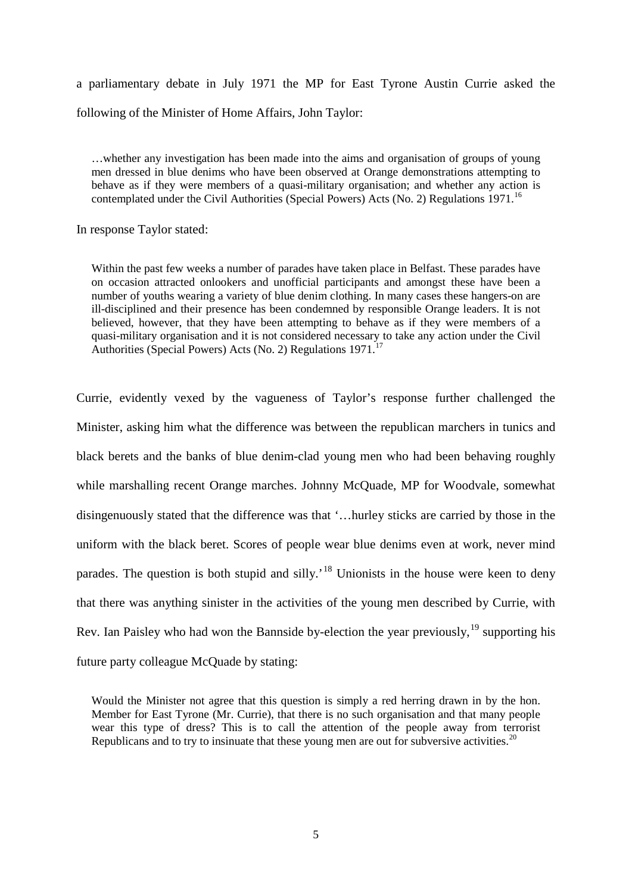a parliamentary debate in July 1971 the MP for East Tyrone Austin Currie asked the following of the Minister of Home Affairs, John Taylor:

…whether any investigation has been made into the aims and organisation of groups of young men dressed in blue denims who have been observed at Orange demonstrations attempting to behave as if they were members of a quasi-military organisation; and whether any action is contemplated under the Civil Authorities (Special Powers) Acts (No. 2) Regulations 1971.<sup>[16](#page-28-13)</sup>

In response Taylor stated:

Within the past few weeks a number of parades have taken place in Belfast. These parades have on occasion attracted onlookers and unofficial participants and amongst these have been a number of youths wearing a variety of blue denim clothing. In many cases these hangers-on are ill-disciplined and their presence has been condemned by responsible Orange leaders. It is not believed, however, that they have been attempting to behave as if they were members of a quasi-military organisation and it is not considered necessary to take any action under the Civil Authorities (Special Powers) Acts (No. 2) Regulations  $1971$ <sup>[17](#page-28-14)</sup>

Currie, evidently vexed by the vagueness of Taylor's response further challenged the Minister, asking him what the difference was between the republican marchers in tunics and black berets and the banks of blue denim-clad young men who had been behaving roughly while marshalling recent Orange marches. Johnny McQuade, MP for Woodvale, somewhat disingenuously stated that the difference was that '…hurley sticks are carried by those in the uniform with the black beret. Scores of people wear blue denims even at work, never mind parades. The question is both stupid and silly.<sup>[18](#page-28-15)</sup> Unionists in the house were keen to deny that there was anything sinister in the activities of the young men described by Currie, with Rev. Ian Paisley who had won the Bannside by-election the year previously,  $19$  supporting his future party colleague McQuade by stating:

Would the Minister not agree that this question is simply a red herring drawn in by the hon. Member for East Tyrone (Mr. Currie), that there is no such organisation and that many people wear this type of dress? This is to call the attention of the people away from terrorist Republicans and to try to insinuate that these young men are out for subversive activities.<sup>[20](#page-28-17)</sup>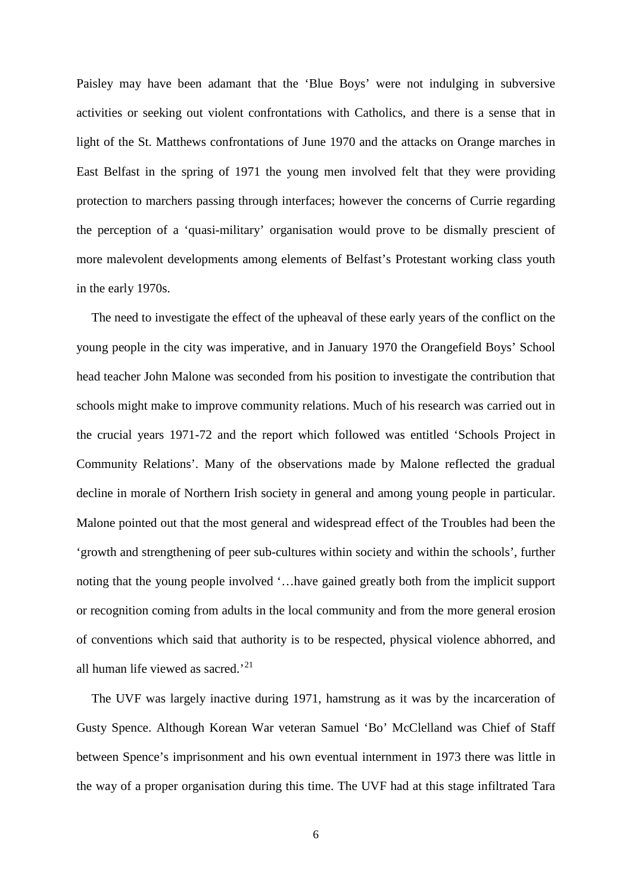Paisley may have been adamant that the 'Blue Boys' were not indulging in subversive activities or seeking out violent confrontations with Catholics, and there is a sense that in light of the St. Matthews confrontations of June 1970 and the attacks on Orange marches in East Belfast in the spring of 1971 the young men involved felt that they were providing protection to marchers passing through interfaces; however the concerns of Currie regarding the perception of a 'quasi-military' organisation would prove to be dismally prescient of more malevolent developments among elements of Belfast's Protestant working class youth in the early 1970s.

The need to investigate the effect of the upheaval of these early years of the conflict on the young people in the city was imperative, and in January 1970 the Orangefield Boys' School head teacher John Malone was seconded from his position to investigate the contribution that schools might make to improve community relations. Much of his research was carried out in the crucial years 1971-72 and the report which followed was entitled 'Schools Project in Community Relations'. Many of the observations made by Malone reflected the gradual decline in morale of Northern Irish society in general and among young people in particular. Malone pointed out that the most general and widespread effect of the Troubles had been the 'growth and strengthening of peer sub-cultures within society and within the schools', further noting that the young people involved '…have gained greatly both from the implicit support or recognition coming from adults in the local community and from the more general erosion of conventions which said that authority is to be respected, physical violence abhorred, and all human life viewed as sacred.<sup>[21](#page-28-18)</sup>

The UVF was largely inactive during 1971, hamstrung as it was by the incarceration of Gusty Spence. Although Korean War veteran Samuel 'Bo' McClelland was Chief of Staff between Spence's imprisonment and his own eventual internment in 1973 there was little in the way of a proper organisation during this time. The UVF had at this stage infiltrated Tara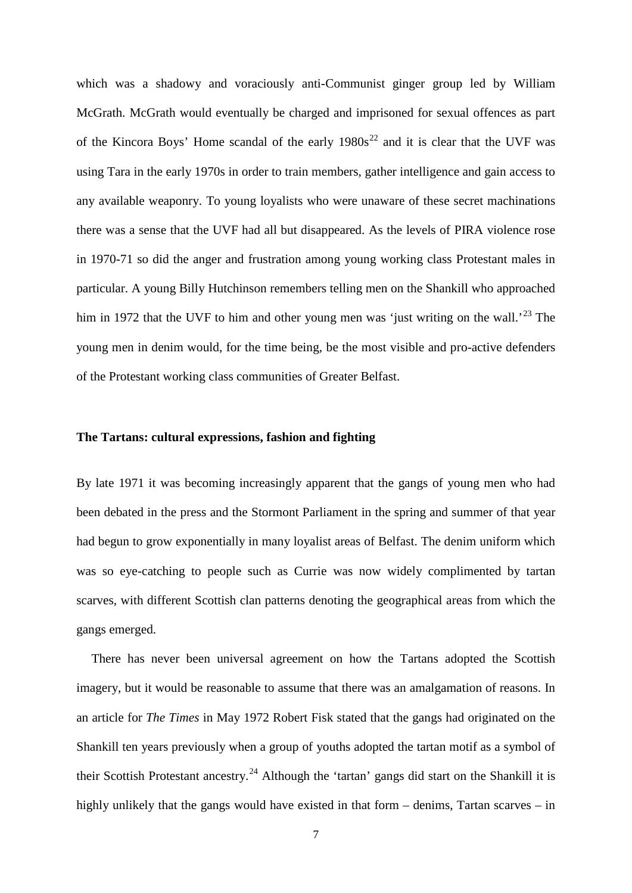which was a shadowy and voraciously anti-Communist ginger group led by William McGrath. McGrath would eventually be charged and imprisoned for sexual offences as part of the Kincora Boys' Home scandal of the early  $1980s^{22}$  $1980s^{22}$  $1980s^{22}$  and it is clear that the UVF was using Tara in the early 1970s in order to train members, gather intelligence and gain access to any available weaponry. To young loyalists who were unaware of these secret machinations there was a sense that the UVF had all but disappeared. As the levels of PIRA violence rose in 1970-71 so did the anger and frustration among young working class Protestant males in particular. A young Billy Hutchinson remembers telling men on the Shankill who approached him in 1972 that the UVF to him and other young men was 'just writing on the wall.<sup>[23](#page-28-20)</sup> The young men in denim would, for the time being, be the most visible and pro-active defenders of the Protestant working class communities of Greater Belfast.

### **The Tartans: cultural expressions, fashion and fighting**

By late 1971 it was becoming increasingly apparent that the gangs of young men who had been debated in the press and the Stormont Parliament in the spring and summer of that year had begun to grow exponentially in many loyalist areas of Belfast. The denim uniform which was so eye-catching to people such as Currie was now widely complimented by tartan scarves, with different Scottish clan patterns denoting the geographical areas from which the gangs emerged.

There has never been universal agreement on how the Tartans adopted the Scottish imagery, but it would be reasonable to assume that there was an amalgamation of reasons. In an article for *The Times* in May 1972 Robert Fisk stated that the gangs had originated on the Shankill ten years previously when a group of youths adopted the tartan motif as a symbol of their Scottish Protestant ancestry.<sup>[24](#page-28-21)</sup> Although the 'tartan' gangs did start on the Shankill it is highly unlikely that the gangs would have existed in that form – denims, Tartan scarves – in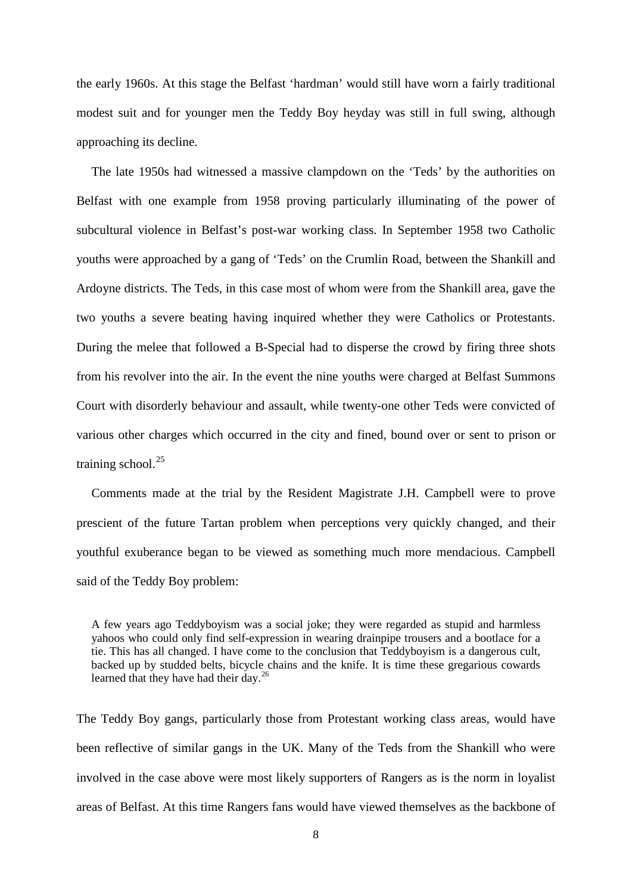the early 1960s. At this stage the Belfast 'hardman' would still have worn a fairly traditional modest suit and for younger men the Teddy Boy heyday was still in full swing, although approaching its decline.

The late 1950s had witnessed a massive clampdown on the 'Teds' by the authorities on Belfast with one example from 1958 proving particularly illuminating of the power of subcultural violence in Belfast's post-war working class. In September 1958 two Catholic youths were approached by a gang of 'Teds' on the Crumlin Road, between the Shankill and Ardoyne districts. The Teds, in this case most of whom were from the Shankill area, gave the two youths a severe beating having inquired whether they were Catholics or Protestants. During the melee that followed a B-Special had to disperse the crowd by firing three shots from his revolver into the air. In the event the nine youths were charged at Belfast Summons Court with disorderly behaviour and assault, while twenty-one other Teds were convicted of various other charges which occurred in the city and fined, bound over or sent to prison or training school. $^{25}$  $^{25}$  $^{25}$ 

Comments made at the trial by the Resident Magistrate J.H. Campbell were to prove prescient of the future Tartan problem when perceptions very quickly changed, and their youthful exuberance began to be viewed as something much more mendacious. Campbell said of the Teddy Boy problem:

A few years ago Teddyboyism was a social joke; they were regarded as stupid and harmless yahoos who could only find self-expression in wearing drainpipe trousers and a bootlace for a tie. This has all changed. I have come to the conclusion that Teddyboyism is a dangerous cult, backed up by studded belts, bicycle chains and the knife. It is time these gregarious cowards learned that they have had their day.<sup>[26](#page-28-23)</sup>

The Teddy Boy gangs, particularly those from Protestant working class areas, would have been reflective of similar gangs in the UK. Many of the Teds from the Shankill who were involved in the case above were most likely supporters of Rangers as is the norm in loyalist areas of Belfast. At this time Rangers fans would have viewed themselves as the backbone of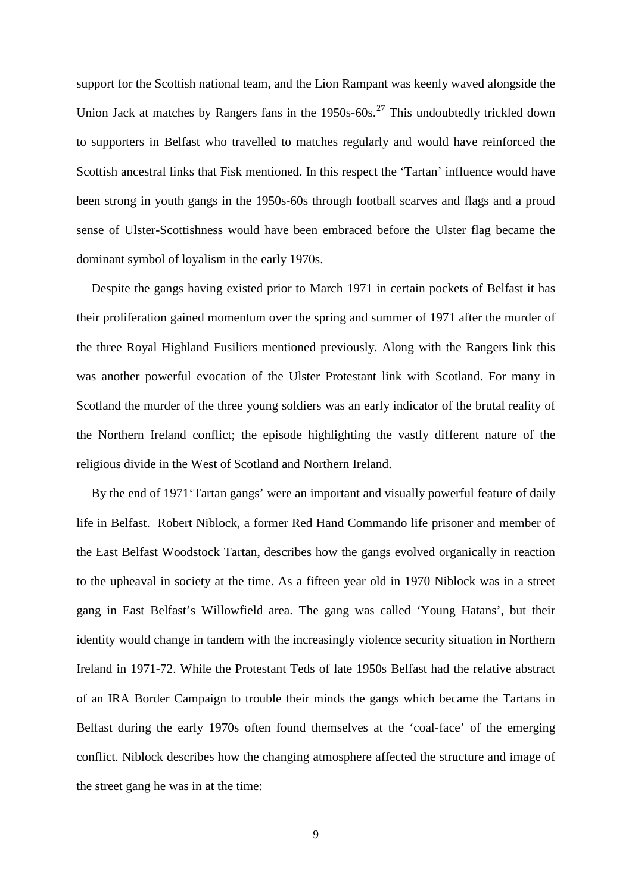support for the Scottish national team, and the Lion Rampant was keenly waved alongside the Union Jack at matches by Rangers fans in the  $1950s-60s$ .<sup>[27](#page-28-24)</sup> This undoubtedly trickled down to supporters in Belfast who travelled to matches regularly and would have reinforced the Scottish ancestral links that Fisk mentioned. In this respect the 'Tartan' influence would have been strong in youth gangs in the 1950s-60s through football scarves and flags and a proud sense of Ulster-Scottishness would have been embraced before the Ulster flag became the dominant symbol of loyalism in the early 1970s.

Despite the gangs having existed prior to March 1971 in certain pockets of Belfast it has their proliferation gained momentum over the spring and summer of 1971 after the murder of the three Royal Highland Fusiliers mentioned previously. Along with the Rangers link this was another powerful evocation of the Ulster Protestant link with Scotland. For many in Scotland the murder of the three young soldiers was an early indicator of the brutal reality of the Northern Ireland conflict; the episode highlighting the vastly different nature of the religious divide in the West of Scotland and Northern Ireland.

By the end of 1971'Tartan gangs' were an important and visually powerful feature of daily life in Belfast. Robert Niblock, a former Red Hand Commando life prisoner and member of the East Belfast Woodstock Tartan, describes how the gangs evolved organically in reaction to the upheaval in society at the time. As a fifteen year old in 1970 Niblock was in a street gang in East Belfast's Willowfield area. The gang was called 'Young Hatans', but their identity would change in tandem with the increasingly violence security situation in Northern Ireland in 1971-72. While the Protestant Teds of late 1950s Belfast had the relative abstract of an IRA Border Campaign to trouble their minds the gangs which became the Tartans in Belfast during the early 1970s often found themselves at the 'coal-face' of the emerging conflict. Niblock describes how the changing atmosphere affected the structure and image of the street gang he was in at the time: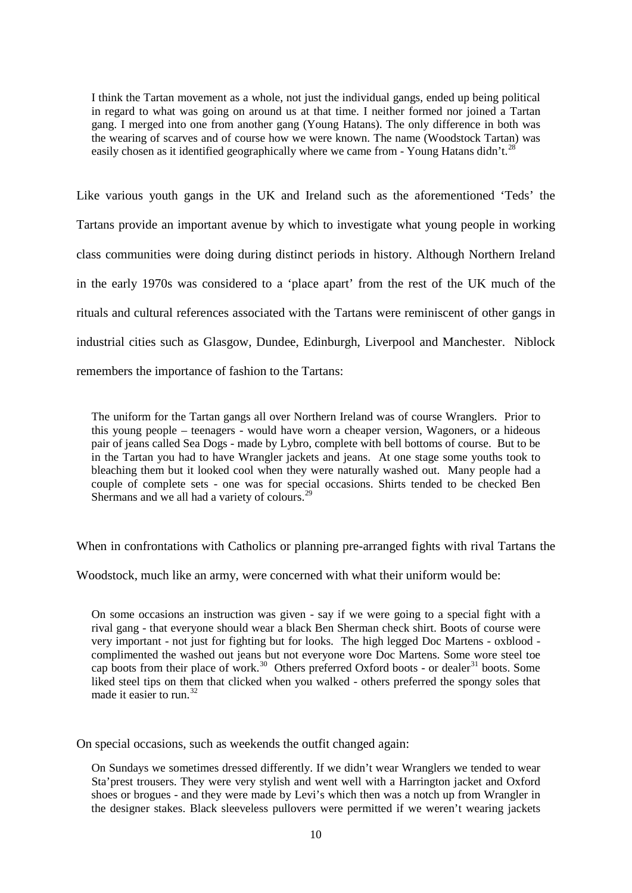I think the Tartan movement as a whole, not just the individual gangs, ended up being political in regard to what was going on around us at that time. I neither formed nor joined a Tartan gang. I merged into one from another gang (Young Hatans). The only difference in both was the wearing of scarves and of course how we were known. The name (Woodstock Tartan) was easily chosen as it identified geographically where we came from - Young Hatans didn't.<sup>28</sup>

Like various youth gangs in the UK and Ireland such as the aforementioned 'Teds' the Tartans provide an important avenue by which to investigate what young people in working class communities were doing during distinct periods in history. Although Northern Ireland in the early 1970s was considered to a 'place apart' from the rest of the UK much of the rituals and cultural references associated with the Tartans were reminiscent of other gangs in industrial cities such as Glasgow, Dundee, Edinburgh, Liverpool and Manchester. Niblock remembers the importance of fashion to the Tartans:

The uniform for the Tartan gangs all over Northern Ireland was of course Wranglers. Prior to this young people – teenagers - would have worn a cheaper version, Wagoners, or a hideous pair of jeans called Sea Dogs - made by Lybro, complete with bell bottoms of course. But to be in the Tartan you had to have Wrangler jackets and jeans. At one stage some youths took to bleaching them but it looked cool when they were naturally washed out. Many people had a couple of complete sets - one was for special occasions. Shirts tended to be checked Ben Shermans and we all had a variety of colours.<sup>[29](#page-28-26)</sup>

When in confrontations with Catholics or planning pre-arranged fights with rival Tartans the

Woodstock, much like an army, were concerned with what their uniform would be:

On some occasions an instruction was given - say if we were going to a special fight with a rival gang - that everyone should wear a black Ben Sherman check shirt. Boots of course were very important - not just for fighting but for looks. The high legged Doc Martens - oxblood complimented the washed out jeans but not everyone wore Doc Martens. Some wore steel toe cap boots from their place of work.<sup>30</sup> Others preferred Oxford boots - or dealer<sup>[31](#page-28-28)</sup> boots. Some liked steel tips on them that clicked when you walked - others preferred the spongy soles that made it easier to run.<sup>[32](#page-28-29)</sup>

On special occasions, such as weekends the outfit changed again:

On Sundays we sometimes dressed differently. If we didn't wear Wranglers we tended to wear Sta'prest trousers. They were very stylish and went well with a Harrington jacket and Oxford shoes or brogues - and they were made by Levi's which then was a notch up from Wrangler in the designer stakes. Black sleeveless pullovers were permitted if we weren't wearing jackets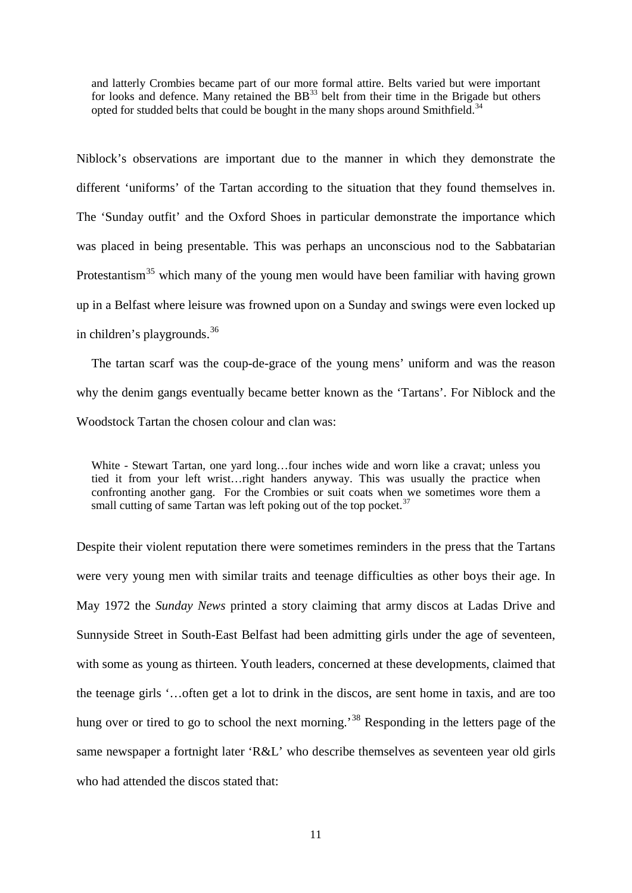and latterly Crombies became part of our more formal attire. Belts varied but were important for looks and defence. Many retained the  $BB<sup>33</sup>$  $BB<sup>33</sup>$  $BB<sup>33</sup>$  belt from their time in the Brigade but others opted for studded belts that could be bought in the many shops around Smithfield.<sup>34</sup>

Niblock's observations are important due to the manner in which they demonstrate the different 'uniforms' of the Tartan according to the situation that they found themselves in. The 'Sunday outfit' and the Oxford Shoes in particular demonstrate the importance which was placed in being presentable. This was perhaps an unconscious nod to the Sabbatarian Protestantism<sup>[35](#page-28-32)</sup> which many of the young men would have been familiar with having grown up in a Belfast where leisure was frowned upon on a Sunday and swings were even locked up in children's playgrounds.[36](#page-28-33)

The tartan scarf was the coup-de-grace of the young mens' uniform and was the reason why the denim gangs eventually became better known as the 'Tartans'. For Niblock and the Woodstock Tartan the chosen colour and clan was:

White - Stewart Tartan, one yard long…four inches wide and worn like a cravat; unless you tied it from your left wrist…right handers anyway. This was usually the practice when confronting another gang. For the Crombies or suit coats when we sometimes wore them a small cutting of same Tartan was left poking out of the top pocket. $37$ 

Despite their violent reputation there were sometimes reminders in the press that the Tartans were very young men with similar traits and teenage difficulties as other boys their age. In May 1972 the *Sunday News* printed a story claiming that army discos at Ladas Drive and Sunnyside Street in South-East Belfast had been admitting girls under the age of seventeen, with some as young as thirteen. Youth leaders, concerned at these developments, claimed that the teenage girls '…often get a lot to drink in the discos, are sent home in taxis, and are too hung over or tired to go to school the next morning.<sup>[38](#page-28-35)</sup> Responding in the letters page of the same newspaper a fortnight later 'R&L' who describe themselves as seventeen year old girls who had attended the discos stated that: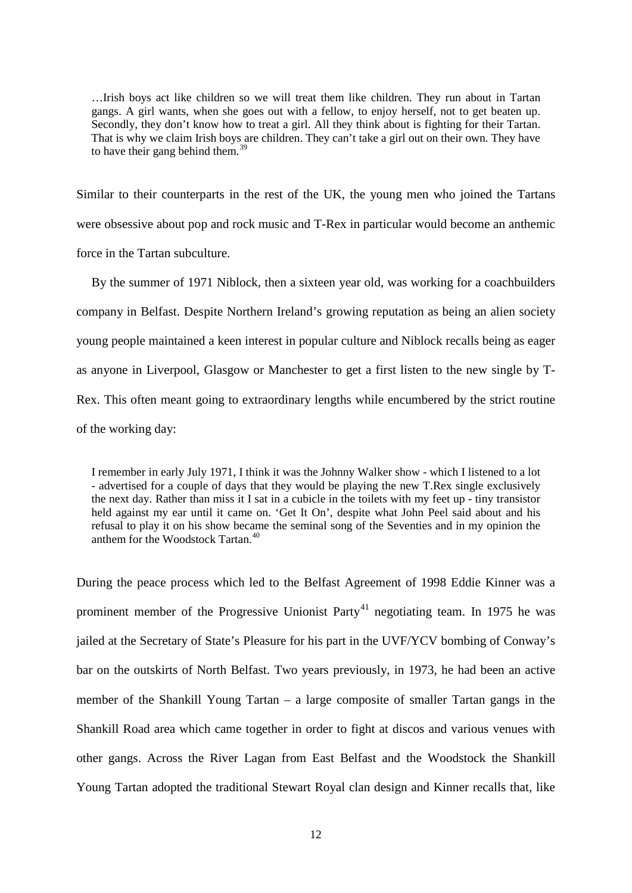…Irish boys act like children so we will treat them like children. They run about in Tartan gangs. A girl wants, when she goes out with a fellow, to enjoy herself, not to get beaten up. Secondly, they don't know how to treat a girl. All they think about is fighting for their Tartan. That is why we claim Irish boys are children. They can't take a girl out on their own. They have to have their gang behind them.<sup>[39](#page-28-36)</sup>

Similar to their counterparts in the rest of the UK, the young men who joined the Tartans were obsessive about pop and rock music and T-Rex in particular would become an anthemic force in the Tartan subculture.

By the summer of 1971 Niblock, then a sixteen year old, was working for a coachbuilders company in Belfast. Despite Northern Ireland's growing reputation as being an alien society young people maintained a keen interest in popular culture and Niblock recalls being as eager as anyone in Liverpool, Glasgow or Manchester to get a first listen to the new single by T-Rex. This often meant going to extraordinary lengths while encumbered by the strict routine of the working day:

I remember in early July 1971, I think it was the Johnny Walker show - which I listened to a lot - advertised for a couple of days that they would be playing the new T.Rex single exclusively the next day. Rather than miss it I sat in a cubicle in the toilets with my feet up - tiny transistor held against my ear until it came on. 'Get It On', despite what John Peel said about and his refusal to play it on his show became the seminal song of the Seventies and in my opinion the anthem for the Woodstock Tartan.<sup>[40](#page-28-37)</sup>

During the peace process which led to the Belfast Agreement of 1998 Eddie Kinner was a prominent member of the Progressive Unionist Party<sup>[41](#page-28-38)</sup> negotiating team. In 1975 he was jailed at the Secretary of State's Pleasure for his part in the UVF/YCV bombing of Conway's bar on the outskirts of North Belfast. Two years previously, in 1973, he had been an active member of the Shankill Young Tartan – a large composite of smaller Tartan gangs in the Shankill Road area which came together in order to fight at discos and various venues with other gangs. Across the River Lagan from East Belfast and the Woodstock the Shankill Young Tartan adopted the traditional Stewart Royal clan design and Kinner recalls that, like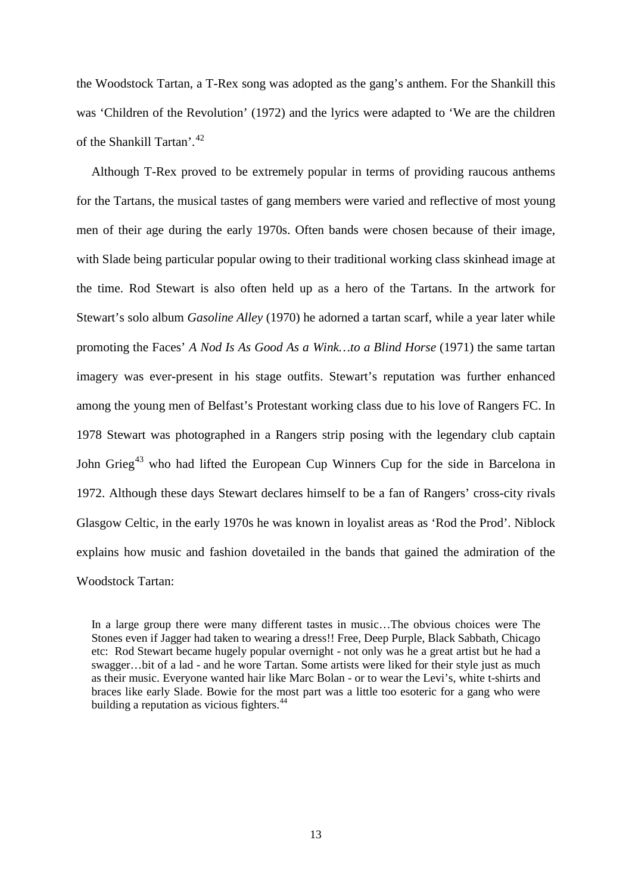the Woodstock Tartan, a T-Rex song was adopted as the gang's anthem. For the Shankill this was 'Children of the Revolution' (1972) and the lyrics were adapted to 'We are the children of the Shankill Tartan'.[42](#page-28-39)

Although T-Rex proved to be extremely popular in terms of providing raucous anthems for the Tartans, the musical tastes of gang members were varied and reflective of most young men of their age during the early 1970s. Often bands were chosen because of their image, with Slade being particular popular owing to their traditional working class skinhead image at the time. Rod Stewart is also often held up as a hero of the Tartans. In the artwork for Stewart's solo album *Gasoline Alley* (1970) he adorned a tartan scarf, while a year later while promoting the Faces' *A Nod Is As Good As a Wink…to a Blind Horse* (1971) the same tartan imagery was ever-present in his stage outfits. Stewart's reputation was further enhanced among the young men of Belfast's Protestant working class due to his love of Rangers FC. In 1978 Stewart was photographed in a Rangers strip posing with the legendary club captain John Grieg<sup>[43](#page-28-40)</sup> who had lifted the European Cup Winners Cup for the side in Barcelona in 1972. Although these days Stewart declares himself to be a fan of Rangers' cross-city rivals Glasgow Celtic, in the early 1970s he was known in loyalist areas as 'Rod the Prod'. Niblock explains how music and fashion dovetailed in the bands that gained the admiration of the Woodstock Tartan:

In a large group there were many different tastes in music…The obvious choices were The Stones even if Jagger had taken to wearing a dress!! Free, Deep Purple, Black Sabbath, Chicago etc: Rod Stewart became hugely popular overnight - not only was he a great artist but he had a swagger…bit of a lad - and he wore Tartan. Some artists were liked for their style just as much as their music. Everyone wanted hair like Marc Bolan - or to wear the Levi's, white t-shirts and braces like early Slade. Bowie for the most part was a little too esoteric for a gang who were building a reputation as vicious fighters.<sup>[44](#page-28-41)</sup>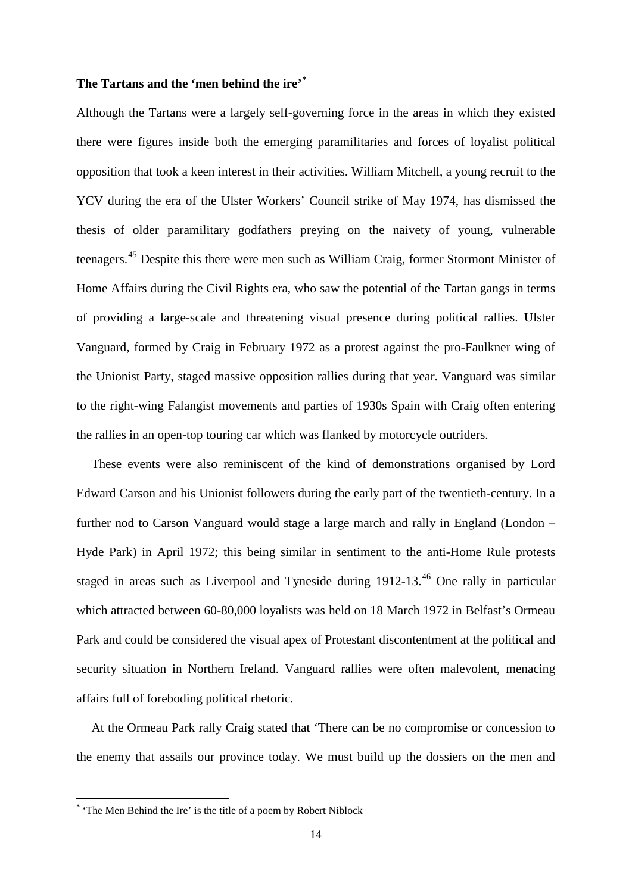# **The Tartans and the 'men behind the ire' [\\*](#page-13-0)**

Although the Tartans were a largely self-governing force in the areas in which they existed there were figures inside both the emerging paramilitaries and forces of loyalist political opposition that took a keen interest in their activities. William Mitchell, a young recruit to the YCV during the era of the Ulster Workers' Council strike of May 1974, has dismissed the thesis of older paramilitary godfathers preying on the naivety of young, vulnerable teenagers.[45](#page-28-42) Despite this there were men such as William Craig, former Stormont Minister of Home Affairs during the Civil Rights era, who saw the potential of the Tartan gangs in terms of providing a large-scale and threatening visual presence during political rallies. Ulster Vanguard, formed by Craig in February 1972 as a protest against the pro-Faulkner wing of the Unionist Party, staged massive opposition rallies during that year. Vanguard was similar to the right-wing Falangist movements and parties of 1930s Spain with Craig often entering the rallies in an open-top touring car which was flanked by motorcycle outriders.

These events were also reminiscent of the kind of demonstrations organised by Lord Edward Carson and his Unionist followers during the early part of the twentieth-century. In a further nod to Carson Vanguard would stage a large march and rally in England (London – Hyde Park) in April 1972; this being similar in sentiment to the anti-Home Rule protests staged in areas such as Liverpool and Tyneside during 1912-13.<sup>[46](#page-28-43)</sup> One rally in particular which attracted between 60-80,000 loyalists was held on 18 March 1972 in Belfast's Ormeau Park and could be considered the visual apex of Protestant discontentment at the political and security situation in Northern Ireland. Vanguard rallies were often malevolent, menacing affairs full of foreboding political rhetoric.

At the Ormeau Park rally Craig stated that 'There can be no compromise or concession to the enemy that assails our province today. We must build up the dossiers on the men and

1

<span id="page-13-0"></span><sup>\*</sup> 'The Men Behind the Ire' is the title of a poem by Robert Niblock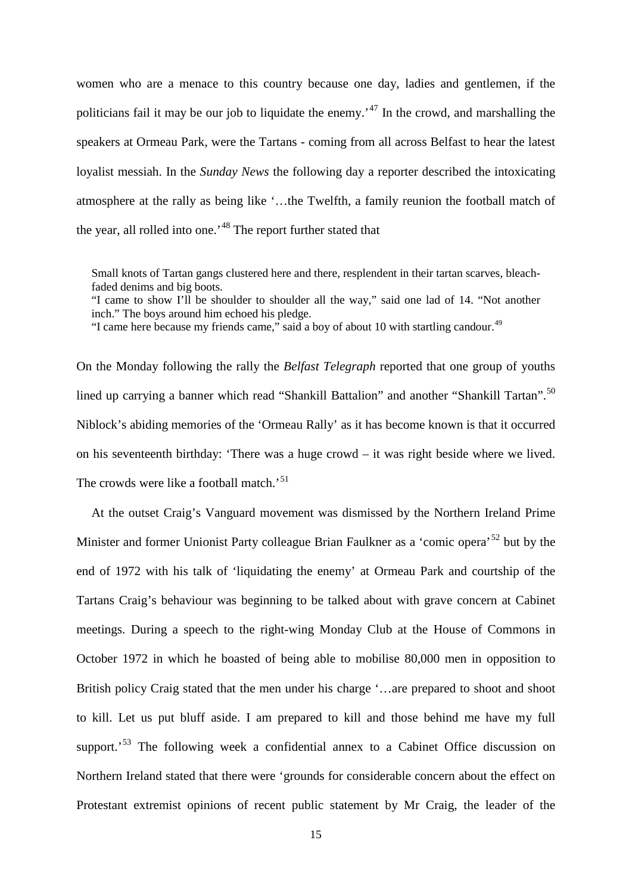women who are a menace to this country because one day, ladies and gentlemen, if the politicians fail it may be our job to liquidate the enemy.<sup> $47$ </sup> In the crowd, and marshalling the speakers at Ormeau Park, were the Tartans - coming from all across Belfast to hear the latest loyalist messiah. In the *Sunday News* the following day a reporter described the intoxicating atmosphere at the rally as being like '…the Twelfth, a family reunion the football match of the year, all rolled into one.<sup>[48](#page-28-45)</sup> The report further stated that

Small knots of Tartan gangs clustered here and there, resplendent in their tartan scarves, bleachfaded denims and big boots.

"I came to show I'll be shoulder to shoulder all the way," said one lad of 14. "Not another inch." The boys around him echoed his pledge.

"I came here because my friends came," said a boy of about 10 with startling candour.<sup>[49](#page-28-46)</sup>

On the Monday following the rally the *Belfast Telegraph* reported that one group of youths lined up carrying a banner which read "Shankill Battalion" and another "Shankill Tartan".<sup>[50](#page-28-47)</sup> Niblock's abiding memories of the 'Ormeau Rally' as it has become known is that it occurred on his seventeenth birthday: 'There was a huge crowd – it was right beside where we lived. The crowds were like a football match.<sup>[51](#page-28-48)</sup>

At the outset Craig's Vanguard movement was dismissed by the Northern Ireland Prime Minister and former Unionist Party colleague Brian Faulkner as a 'comic opera'<sup>[52](#page-28-49)</sup> but by the end of 1972 with his talk of 'liquidating the enemy' at Ormeau Park and courtship of the Tartans Craig's behaviour was beginning to be talked about with grave concern at Cabinet meetings. During a speech to the right-wing Monday Club at the House of Commons in October 1972 in which he boasted of being able to mobilise 80,000 men in opposition to British policy Craig stated that the men under his charge '…are prepared to shoot and shoot to kill. Let us put bluff aside. I am prepared to kill and those behind me have my full support.<sup>[53](#page-28-50)</sup> The following week a confidential annex to a Cabinet Office discussion on Northern Ireland stated that there were 'grounds for considerable concern about the effect on Protestant extremist opinions of recent public statement by Mr Craig, the leader of the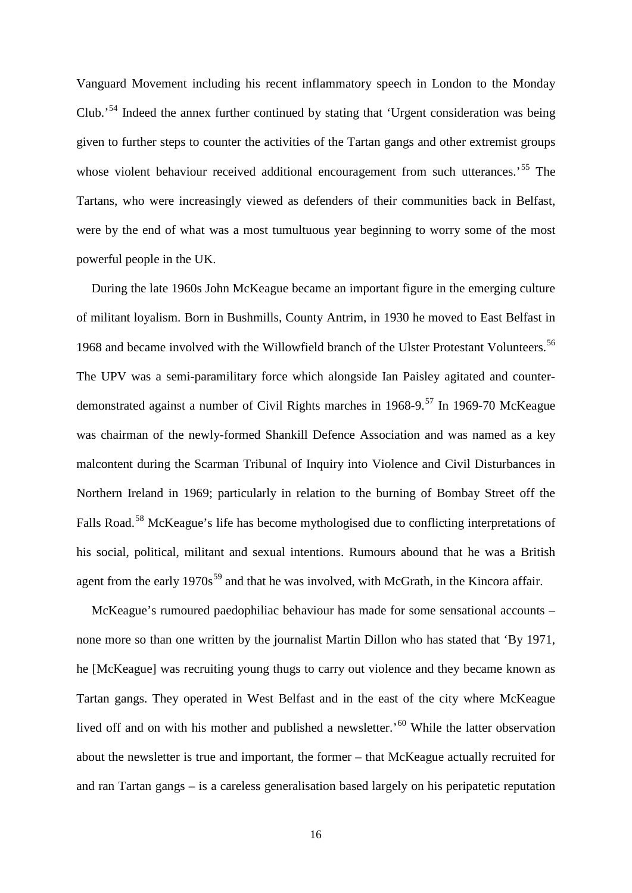Vanguard Movement including his recent inflammatory speech in London to the Monday Club.'[54](#page-28-51) Indeed the annex further continued by stating that 'Urgent consideration was being given to further steps to counter the activities of the Tartan gangs and other extremist groups whose violent behaviour received additional encouragement from such utterances.<sup>[55](#page-28-52)</sup> The Tartans, who were increasingly viewed as defenders of their communities back in Belfast, were by the end of what was a most tumultuous year beginning to worry some of the most powerful people in the UK.

During the late 1960s John McKeague became an important figure in the emerging culture of militant loyalism. Born in Bushmills, County Antrim, in 1930 he moved to East Belfast in 1968 and became involved with the Willowfield branch of the Ulster Protestant Volunteers.<sup>[56](#page-28-53)</sup> The UPV was a semi-paramilitary force which alongside Ian Paisley agitated and counter-demonstrated against a number of Civil Rights marches in 1968-9.<sup>[57](#page-28-54)</sup> In 1969-70 McKeague was chairman of the newly-formed Shankill Defence Association and was named as a key malcontent during the Scarman Tribunal of Inquiry into Violence and Civil Disturbances in Northern Ireland in 1969; particularly in relation to the burning of Bombay Street off the Falls Road.<sup>[58](#page-28-55)</sup> McKeague's life has become mythologised due to conflicting interpretations of his social, political, militant and sexual intentions. Rumours abound that he was a British agent from the early  $1970s^{59}$  $1970s^{59}$  $1970s^{59}$  and that he was involved, with McGrath, in the Kincora affair.

McKeague's rumoured paedophiliac behaviour has made for some sensational accounts – none more so than one written by the journalist Martin Dillon who has stated that 'By 1971, he [McKeague] was recruiting young thugs to carry out violence and they became known as Tartan gangs. They operated in West Belfast and in the east of the city where McKeague lived off and on with his mother and published a newsletter.<sup>[60](#page-28-57)</sup> While the latter observation about the newsletter is true and important, the former – that McKeague actually recruited for and ran Tartan gangs – is a careless generalisation based largely on his peripatetic reputation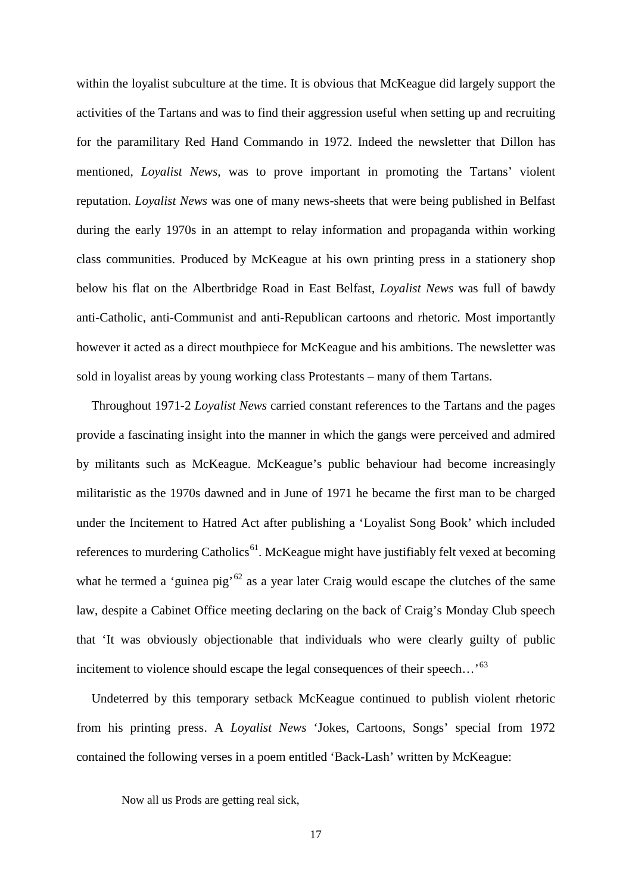within the loyalist subculture at the time. It is obvious that McKeague did largely support the activities of the Tartans and was to find their aggression useful when setting up and recruiting for the paramilitary Red Hand Commando in 1972. Indeed the newsletter that Dillon has mentioned, *Loyalist News*, was to prove important in promoting the Tartans' violent reputation. *Loyalist News* was one of many news-sheets that were being published in Belfast during the early 1970s in an attempt to relay information and propaganda within working class communities. Produced by McKeague at his own printing press in a stationery shop below his flat on the Albertbridge Road in East Belfast, *Loyalist News* was full of bawdy anti-Catholic, anti-Communist and anti-Republican cartoons and rhetoric. Most importantly however it acted as a direct mouthpiece for McKeague and his ambitions. The newsletter was sold in loyalist areas by young working class Protestants – many of them Tartans.

Throughout 1971-2 *Loyalist News* carried constant references to the Tartans and the pages provide a fascinating insight into the manner in which the gangs were perceived and admired by militants such as McKeague. McKeague's public behaviour had become increasingly militaristic as the 1970s dawned and in June of 1971 he became the first man to be charged under the Incitement to Hatred Act after publishing a 'Loyalist Song Book' which included references to murdering Catholics<sup>61</sup>. McKeague might have justifiably felt vexed at becoming what he termed a 'guinea pig'<sup>[62](#page-28-59)</sup> as a year later Craig would escape the clutches of the same law, despite a Cabinet Office meeting declaring on the back of Craig's Monday Club speech that 'It was obviously objectionable that individuals who were clearly guilty of public incitement to violence should escape the legal consequences of their speech...<sup>[63](#page-28-60)</sup>

Undeterred by this temporary setback McKeague continued to publish violent rhetoric from his printing press. A *Loyalist News* 'Jokes, Cartoons, Songs' special from 1972 contained the following verses in a poem entitled 'Back-Lash' written by McKeague:

Now all us Prods are getting real sick,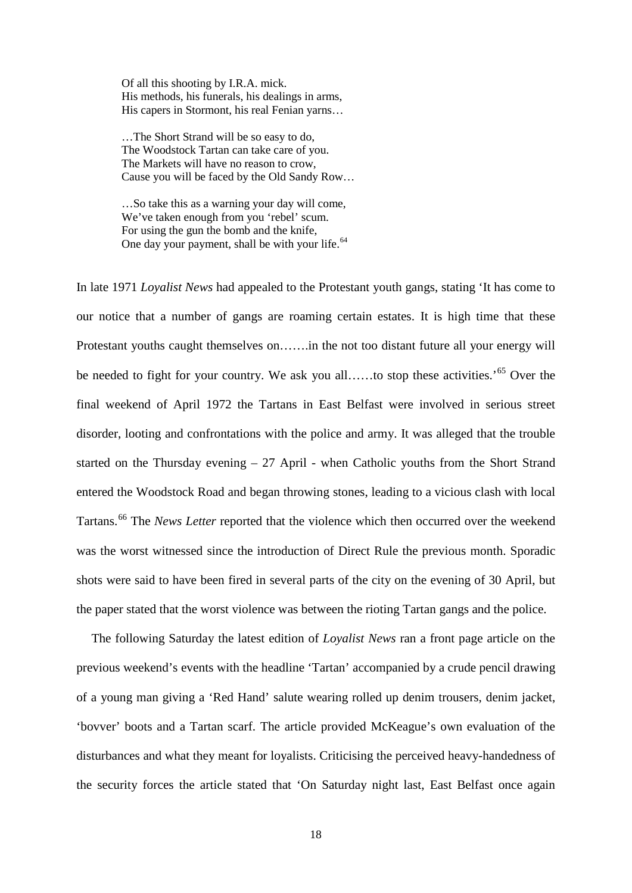Of all this shooting by I.R.A. mick. His methods, his funerals, his dealings in arms, His capers in Stormont, his real Fenian yarns…

…The Short Strand will be so easy to do, The Woodstock Tartan can take care of you. The Markets will have no reason to crow, Cause you will be faced by the Old Sandy Row…

…So take this as a warning your day will come, We've taken enough from you 'rebel' scum. For using the gun the bomb and the knife, One day your payment, shall be with your life.<sup>[64](#page-28-61)</sup>

In late 1971 *Loyalist News* had appealed to the Protestant youth gangs, stating 'It has come to our notice that a number of gangs are roaming certain estates. It is high time that these Protestant youths caught themselves on…….in the not too distant future all your energy will be needed to fight for your country. We ask you all…...to stop these activities.<sup>55</sup> Over the final weekend of April 1972 the Tartans in East Belfast were involved in serious street disorder, looting and confrontations with the police and army. It was alleged that the trouble started on the Thursday evening – 27 April - when Catholic youths from the Short Strand entered the Woodstock Road and began throwing stones, leading to a vicious clash with local Tartans.<sup>[66](#page-28-63)</sup> The *News Letter* reported that the violence which then occurred over the weekend was the worst witnessed since the introduction of Direct Rule the previous month. Sporadic shots were said to have been fired in several parts of the city on the evening of 30 April, but the paper stated that the worst violence was between the rioting Tartan gangs and the police.

The following Saturday the latest edition of *Loyalist News* ran a front page article on the previous weekend's events with the headline 'Tartan' accompanied by a crude pencil drawing of a young man giving a 'Red Hand' salute wearing rolled up denim trousers, denim jacket, 'bovver' boots and a Tartan scarf. The article provided McKeague's own evaluation of the disturbances and what they meant for loyalists. Criticising the perceived heavy-handedness of the security forces the article stated that 'On Saturday night last, East Belfast once again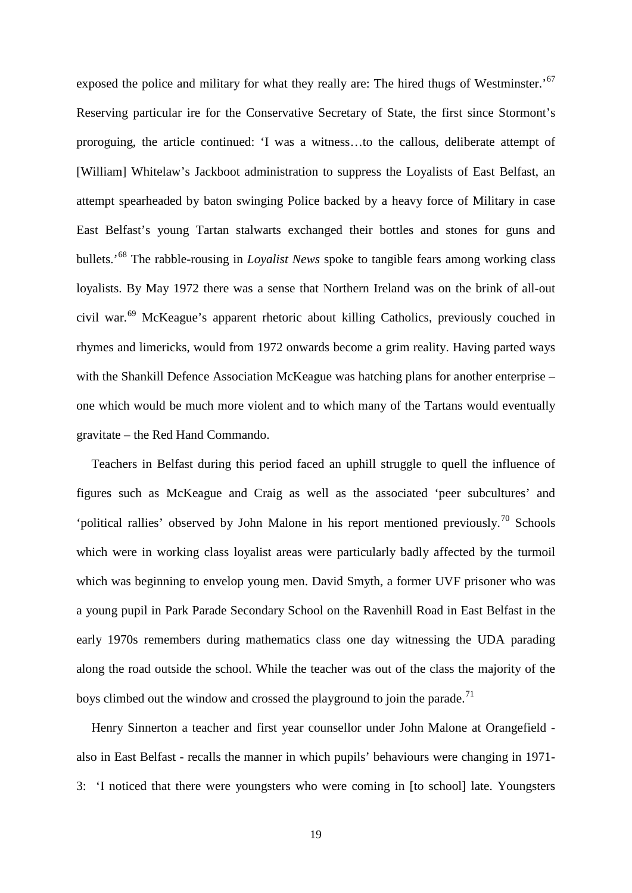exposed the police and military for what they really are: The hired thugs of Westminster.<sup>[67](#page-28-64)</sup> Reserving particular ire for the Conservative Secretary of State, the first since Stormont's proroguing, the article continued: 'I was a witness…to the callous, deliberate attempt of [William] Whitelaw's Jackboot administration to suppress the Loyalists of East Belfast, an attempt spearheaded by baton swinging Police backed by a heavy force of Military in case East Belfast's young Tartan stalwarts exchanged their bottles and stones for guns and bullets.'[68](#page-28-65) The rabble-rousing in *Loyalist News* spoke to tangible fears among working class loyalists. By May 1972 there was a sense that Northern Ireland was on the brink of all-out civil war.[69](#page-28-66) McKeague's apparent rhetoric about killing Catholics, previously couched in rhymes and limericks, would from 1972 onwards become a grim reality. Having parted ways with the Shankill Defence Association McKeague was hatching plans for another enterprise – one which would be much more violent and to which many of the Tartans would eventually gravitate – the Red Hand Commando.

Teachers in Belfast during this period faced an uphill struggle to quell the influence of figures such as McKeague and Craig as well as the associated 'peer subcultures' and 'political rallies' observed by John Malone in his report mentioned previously.<sup>[70](#page-28-67)</sup> Schools which were in working class loyalist areas were particularly badly affected by the turmoil which was beginning to envelop young men. David Smyth, a former UVF prisoner who was a young pupil in Park Parade Secondary School on the Ravenhill Road in East Belfast in the early 1970s remembers during mathematics class one day witnessing the UDA parading along the road outside the school. While the teacher was out of the class the majority of the boys climbed out the window and crossed the playground to join the parade.<sup>[71](#page-28-68)</sup>

Henry Sinnerton a teacher and first year counsellor under John Malone at Orangefield also in East Belfast - recalls the manner in which pupils' behaviours were changing in 1971- 3: 'I noticed that there were youngsters who were coming in [to school] late. Youngsters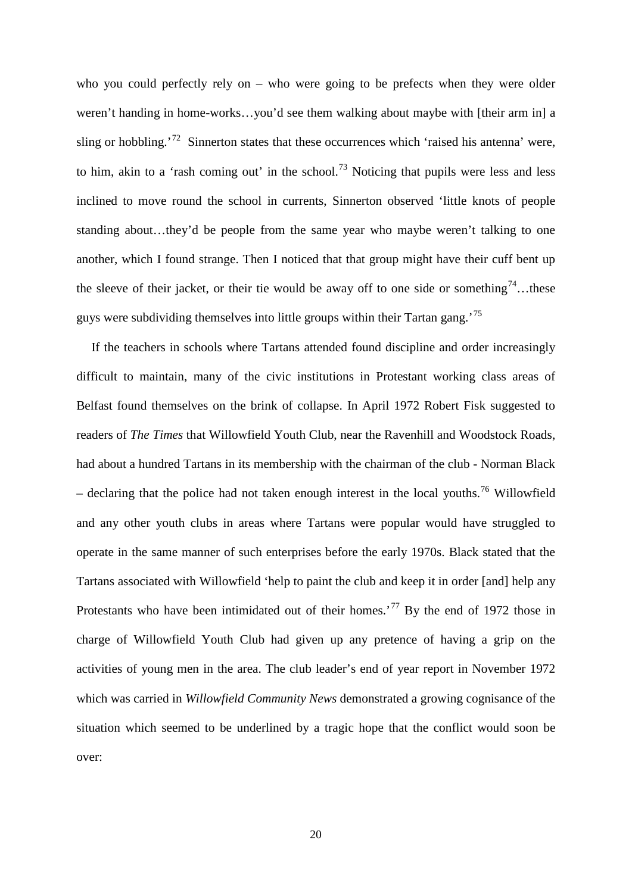who you could perfectly rely on – who were going to be prefects when they were older weren't handing in home-works…you'd see them walking about maybe with [their arm in] a sling or hobbling.<sup>[72](#page-28-69)</sup> Sinnerton states that these occurrences which 'raised his antenna' were, to him, akin to a 'rash coming out' in the school.<sup>[73](#page-28-70)</sup> Noticing that pupils were less and less inclined to move round the school in currents, Sinnerton observed 'little knots of people standing about…they'd be people from the same year who maybe weren't talking to one another, which I found strange. Then I noticed that that group might have their cuff bent up the sleeve of their jacket, or their tie would be away off to one side or something<sup>74</sup>...these guys were subdividing themselves into little groups within their Tartan gang.<sup>[75](#page-28-72)</sup>

If the teachers in schools where Tartans attended found discipline and order increasingly difficult to maintain, many of the civic institutions in Protestant working class areas of Belfast found themselves on the brink of collapse. In April 1972 Robert Fisk suggested to readers of *The Times* that Willowfield Youth Club, near the Ravenhill and Woodstock Roads, had about a hundred Tartans in its membership with the chairman of the club - Norman Black – declaring that the police had not taken enough interest in the local youths.<sup>[76](#page-28-73)</sup> Willowfield and any other youth clubs in areas where Tartans were popular would have struggled to operate in the same manner of such enterprises before the early 1970s. Black stated that the Tartans associated with Willowfield 'help to paint the club and keep it in order [and] help any Protestants who have been intimidated out of their homes.<sup>[77](#page-28-74)</sup> By the end of 1972 those in charge of Willowfield Youth Club had given up any pretence of having a grip on the activities of young men in the area. The club leader's end of year report in November 1972 which was carried in *Willowfield Community News* demonstrated a growing cognisance of the situation which seemed to be underlined by a tragic hope that the conflict would soon be over: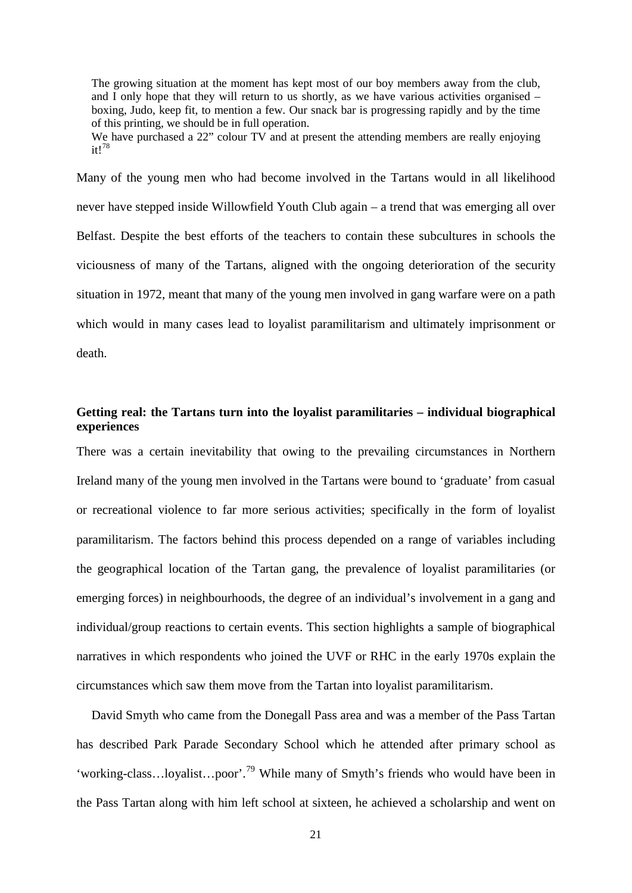The growing situation at the moment has kept most of our boy members away from the club, and I only hope that they will return to us shortly, as we have various activities organised – boxing, Judo, keep fit, to mention a few. Our snack bar is progressing rapidly and by the time of this printing, we should be in full operation.

We have purchased a 22" colour TV and at present the attending members are really enjoying it![78](#page-28-75)

Many of the young men who had become involved in the Tartans would in all likelihood never have stepped inside Willowfield Youth Club again – a trend that was emerging all over Belfast. Despite the best efforts of the teachers to contain these subcultures in schools the viciousness of many of the Tartans, aligned with the ongoing deterioration of the security situation in 1972, meant that many of the young men involved in gang warfare were on a path which would in many cases lead to loyalist paramilitarism and ultimately imprisonment or death.

# **Getting real: the Tartans turn into the loyalist paramilitaries – individual biographical experiences**

There was a certain inevitability that owing to the prevailing circumstances in Northern Ireland many of the young men involved in the Tartans were bound to 'graduate' from casual or recreational violence to far more serious activities; specifically in the form of loyalist paramilitarism. The factors behind this process depended on a range of variables including the geographical location of the Tartan gang, the prevalence of loyalist paramilitaries (or emerging forces) in neighbourhoods, the degree of an individual's involvement in a gang and individual/group reactions to certain events. This section highlights a sample of biographical narratives in which respondents who joined the UVF or RHC in the early 1970s explain the circumstances which saw them move from the Tartan into loyalist paramilitarism.

David Smyth who came from the Donegall Pass area and was a member of the Pass Tartan has described Park Parade Secondary School which he attended after primary school as 'working-class...loyalist...poor'.<sup>[79](#page-28-76)</sup> While many of Smyth's friends who would have been in the Pass Tartan along with him left school at sixteen, he achieved a scholarship and went on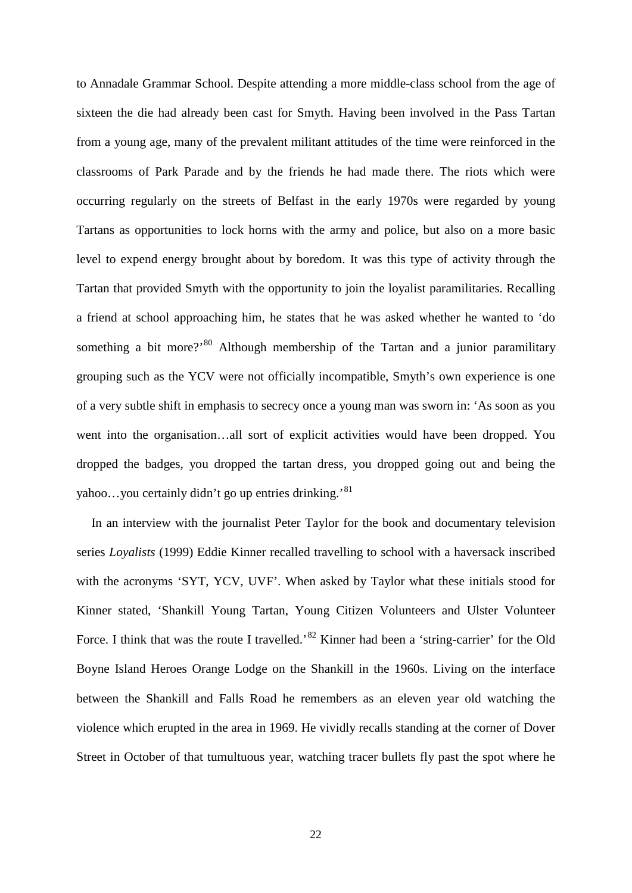to Annadale Grammar School. Despite attending a more middle-class school from the age of sixteen the die had already been cast for Smyth. Having been involved in the Pass Tartan from a young age, many of the prevalent militant attitudes of the time were reinforced in the classrooms of Park Parade and by the friends he had made there. The riots which were occurring regularly on the streets of Belfast in the early 1970s were regarded by young Tartans as opportunities to lock horns with the army and police, but also on a more basic level to expend energy brought about by boredom. It was this type of activity through the Tartan that provided Smyth with the opportunity to join the loyalist paramilitaries. Recalling a friend at school approaching him, he states that he was asked whether he wanted to 'do something a bit more?<sup>[80](#page-28-77)</sup> Although membership of the Tartan and a junior paramilitary grouping such as the YCV were not officially incompatible, Smyth's own experience is one of a very subtle shift in emphasis to secrecy once a young man was sworn in: 'As soon as you went into the organisation…all sort of explicit activities would have been dropped. You dropped the badges, you dropped the tartan dress, you dropped going out and being the yahoo...you certainly didn't go up entries drinking.'<sup>[81](#page-28-78)</sup>

In an interview with the journalist Peter Taylor for the book and documentary television series *Loyalists* (1999) Eddie Kinner recalled travelling to school with a haversack inscribed with the acronyms 'SYT, YCV, UVF'. When asked by Taylor what these initials stood for Kinner stated, 'Shankill Young Tartan, Young Citizen Volunteers and Ulster Volunteer Force. I think that was the route I travelled.<sup>[82](#page-28-79)</sup> Kinner had been a 'string-carrier' for the Old Boyne Island Heroes Orange Lodge on the Shankill in the 1960s. Living on the interface between the Shankill and Falls Road he remembers as an eleven year old watching the violence which erupted in the area in 1969. He vividly recalls standing at the corner of Dover Street in October of that tumultuous year, watching tracer bullets fly past the spot where he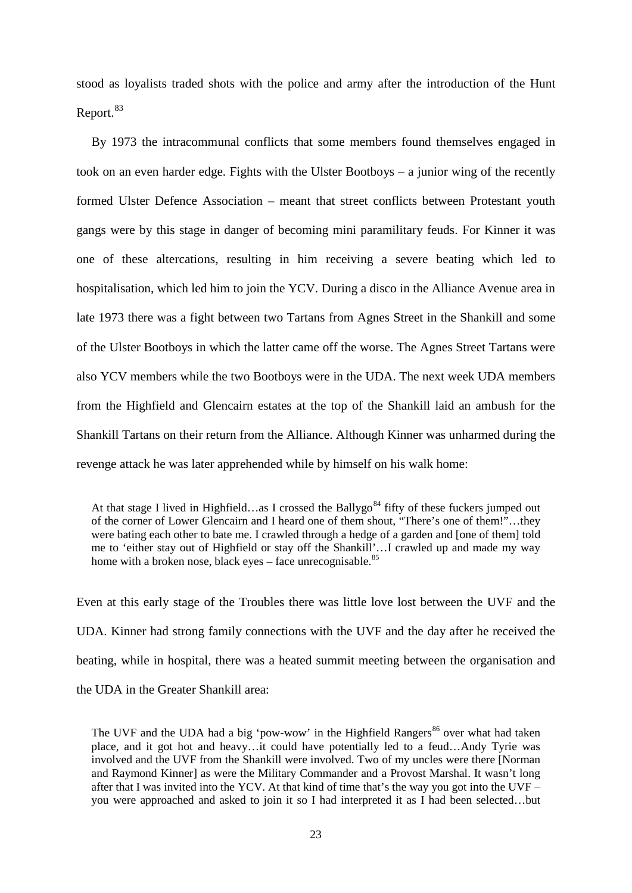stood as loyalists traded shots with the police and army after the introduction of the Hunt Report.<sup>[83](#page-28-80)</sup>

By 1973 the intracommunal conflicts that some members found themselves engaged in took on an even harder edge. Fights with the Ulster Bootboys – a junior wing of the recently formed Ulster Defence Association – meant that street conflicts between Protestant youth gangs were by this stage in danger of becoming mini paramilitary feuds. For Kinner it was one of these altercations, resulting in him receiving a severe beating which led to hospitalisation, which led him to join the YCV. During a disco in the Alliance Avenue area in late 1973 there was a fight between two Tartans from Agnes Street in the Shankill and some of the Ulster Bootboys in which the latter came off the worse. The Agnes Street Tartans were also YCV members while the two Bootboys were in the UDA. The next week UDA members from the Highfield and Glencairn estates at the top of the Shankill laid an ambush for the Shankill Tartans on their return from the Alliance. Although Kinner was unharmed during the revenge attack he was later apprehended while by himself on his walk home:

At that stage I lived in Highfield…as I crossed the Ballygo<sup>[84](#page-28-81)</sup> fifty of these fuckers jumped out of the corner of Lower Glencairn and I heard one of them shout, "There's one of them!"…they were bating each other to bate me. I crawled through a hedge of a garden and [one of them] told me to 'either stay out of Highfield or stay off the Shankill'…I crawled up and made my way home with a broken nose, black eyes – face unrecognisable. $85$ 

Even at this early stage of the Troubles there was little love lost between the UVF and the UDA. Kinner had strong family connections with the UVF and the day after he received the beating, while in hospital, there was a heated summit meeting between the organisation and the UDA in the Greater Shankill area:

The UVF and the UDA had a big 'pow-wow' in the Highfield Rangers<sup>[86](#page-28-83)</sup> over what had taken place, and it got hot and heavy…it could have potentially led to a feud…Andy Tyrie was involved and the UVF from the Shankill were involved. Two of my uncles were there [Norman and Raymond Kinner] as were the Military Commander and a Provost Marshal. It wasn't long after that I was invited into the YCV. At that kind of time that's the way you got into the UVF – you were approached and asked to join it so I had interpreted it as I had been selected…but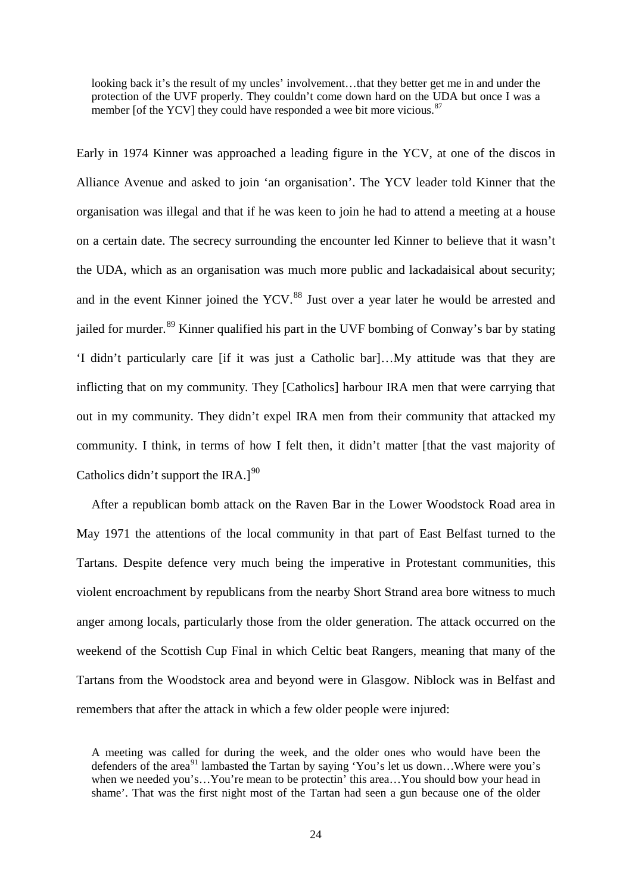looking back it's the result of my uncles' involvement…that they better get me in and under the protection of the UVF properly. They couldn't come down hard on the UDA but once I was a member [of the YCV] they could have responded a wee bit more vicious.<sup>[87](#page-28-84)</sup>

Early in 1974 Kinner was approached a leading figure in the YCV, at one of the discos in Alliance Avenue and asked to join 'an organisation'. The YCV leader told Kinner that the organisation was illegal and that if he was keen to join he had to attend a meeting at a house on a certain date. The secrecy surrounding the encounter led Kinner to believe that it wasn't the UDA, which as an organisation was much more public and lackadaisical about security; and in the event Kinner joined the YCV.<sup>[88](#page-28-85)</sup> Just over a year later he would be arrested and jailed for murder.<sup>[89](#page-28-86)</sup> Kinner qualified his part in the UVF bombing of Conway's bar by stating 'I didn't particularly care [if it was just a Catholic bar]…My attitude was that they are inflicting that on my community. They [Catholics] harbour IRA men that were carrying that out in my community. They didn't expel IRA men from their community that attacked my community. I think, in terms of how I felt then, it didn't matter [that the vast majority of Catholics didn't support the IRA.] $^{90}$  $^{90}$  $^{90}$ 

After a republican bomb attack on the Raven Bar in the Lower Woodstock Road area in May 1971 the attentions of the local community in that part of East Belfast turned to the Tartans. Despite defence very much being the imperative in Protestant communities, this violent encroachment by republicans from the nearby Short Strand area bore witness to much anger among locals, particularly those from the older generation. The attack occurred on the weekend of the Scottish Cup Final in which Celtic beat Rangers, meaning that many of the Tartans from the Woodstock area and beyond were in Glasgow. Niblock was in Belfast and remembers that after the attack in which a few older people were injured:

A meeting was called for during the week, and the older ones who would have been the defenders of the area<sup>[91](#page-28-88)</sup> lambasted the Tartan by saying 'You's let us down...Where were you's when we needed you's...You're mean to be protectin' this area...You should bow your head in shame'. That was the first night most of the Tartan had seen a gun because one of the older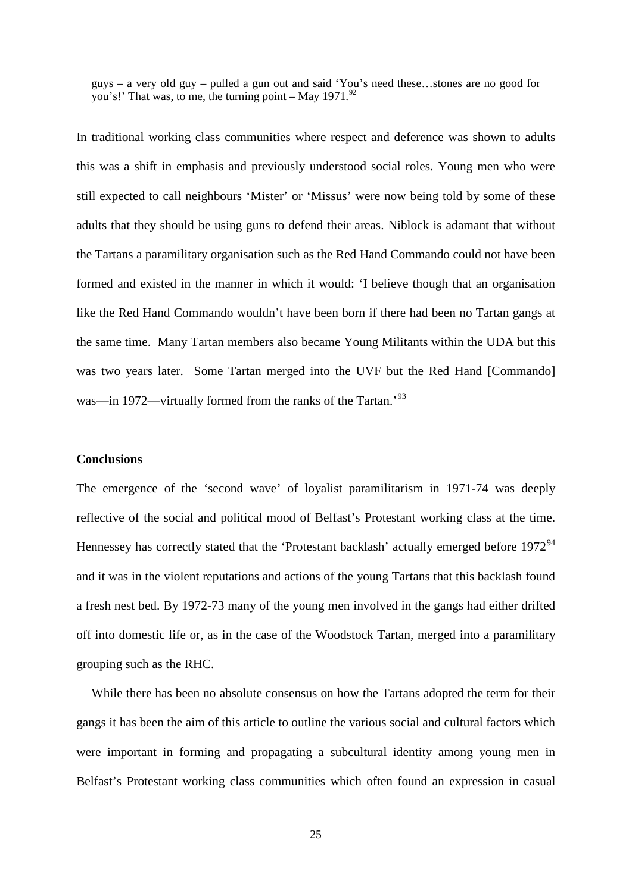guys – a very old guy – pulled a gun out and said 'You's need these…stones are no good for you's!' That was, to me, the turning point – May  $1971$ .<sup>92</sup>

In traditional working class communities where respect and deference was shown to adults this was a shift in emphasis and previously understood social roles. Young men who were still expected to call neighbours 'Mister' or 'Missus' were now being told by some of these adults that they should be using guns to defend their areas. Niblock is adamant that without the Tartans a paramilitary organisation such as the Red Hand Commando could not have been formed and existed in the manner in which it would: 'I believe though that an organisation like the Red Hand Commando wouldn't have been born if there had been no Tartan gangs at the same time. Many Tartan members also became Young Militants within the UDA but this was two years later. Some Tartan merged into the UVF but the Red Hand [Commando] was—in 1972—virtually formed from the ranks of the Tartan.'<sup>[93](#page-28-90)</sup>

## **Conclusions**

The emergence of the 'second wave' of loyalist paramilitarism in 1971-74 was deeply reflective of the social and political mood of Belfast's Protestant working class at the time. Hennessey has correctly stated that the 'Protestant backlash' actually emerged before 1972<sup>[94](#page-28-91)</sup> and it was in the violent reputations and actions of the young Tartans that this backlash found a fresh nest bed. By 1972-73 many of the young men involved in the gangs had either drifted off into domestic life or, as in the case of the Woodstock Tartan, merged into a paramilitary grouping such as the RHC.

While there has been no absolute consensus on how the Tartans adopted the term for their gangs it has been the aim of this article to outline the various social and cultural factors which were important in forming and propagating a subcultural identity among young men in Belfast's Protestant working class communities which often found an expression in casual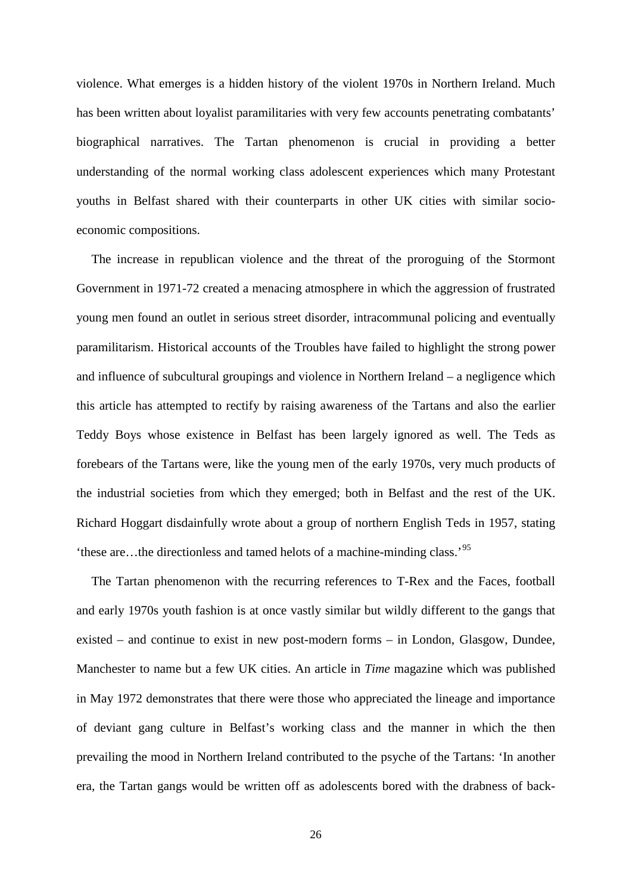violence. What emerges is a hidden history of the violent 1970s in Northern Ireland. Much has been written about loyalist paramilitaries with very few accounts penetrating combatants' biographical narratives. The Tartan phenomenon is crucial in providing a better understanding of the normal working class adolescent experiences which many Protestant youths in Belfast shared with their counterparts in other UK cities with similar socioeconomic compositions.

The increase in republican violence and the threat of the proroguing of the Stormont Government in 1971-72 created a menacing atmosphere in which the aggression of frustrated young men found an outlet in serious street disorder, intracommunal policing and eventually paramilitarism. Historical accounts of the Troubles have failed to highlight the strong power and influence of subcultural groupings and violence in Northern Ireland – a negligence which this article has attempted to rectify by raising awareness of the Tartans and also the earlier Teddy Boys whose existence in Belfast has been largely ignored as well. The Teds as forebears of the Tartans were, like the young men of the early 1970s, very much products of the industrial societies from which they emerged; both in Belfast and the rest of the UK. Richard Hoggart disdainfully wrote about a group of northern English Teds in 1957, stating 'these are…the directionless and tamed helots of a machine-minding class.'[95](#page-28-92)

The Tartan phenomenon with the recurring references to T-Rex and the Faces, football and early 1970s youth fashion is at once vastly similar but wildly different to the gangs that existed – and continue to exist in new post-modern forms – in London, Glasgow, Dundee, Manchester to name but a few UK cities. An article in *Time* magazine which was published in May 1972 demonstrates that there were those who appreciated the lineage and importance of deviant gang culture in Belfast's working class and the manner in which the then prevailing the mood in Northern Ireland contributed to the psyche of the Tartans: 'In another era, the Tartan gangs would be written off as adolescents bored with the drabness of back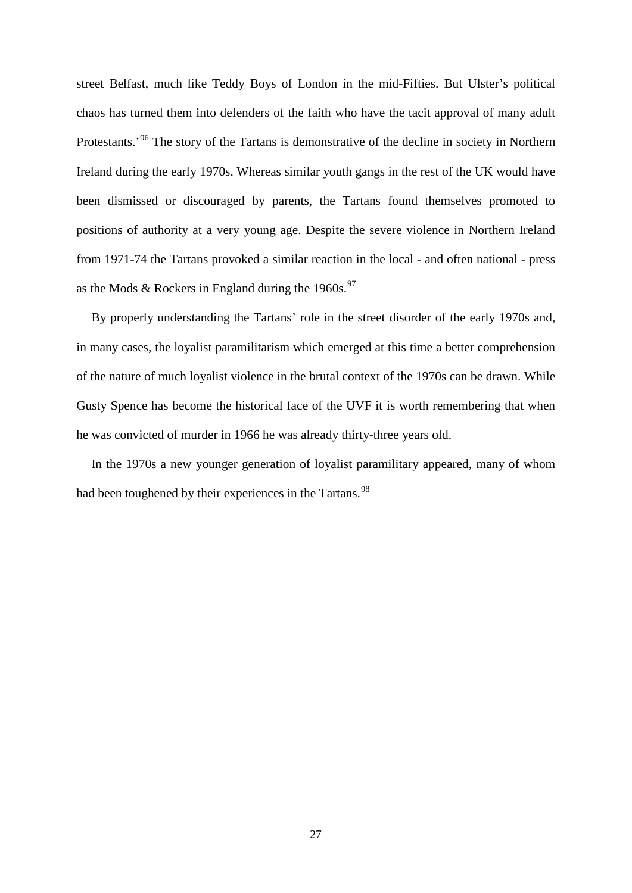street Belfast, much like Teddy Boys of London in the mid-Fifties. But Ulster's political chaos has turned them into defenders of the faith who have the tacit approval of many adult Protestants.<sup>[96](#page-28-93)</sup> The story of the Tartans is demonstrative of the decline in society in Northern Ireland during the early 1970s. Whereas similar youth gangs in the rest of the UK would have been dismissed or discouraged by parents, the Tartans found themselves promoted to positions of authority at a very young age. Despite the severe violence in Northern Ireland from 1971-74 the Tartans provoked a similar reaction in the local - and often national - press as the Mods & Rockers in England during the 1960s.<sup>[97](#page-28-94)</sup>

By properly understanding the Tartans' role in the street disorder of the early 1970s and, in many cases, the loyalist paramilitarism which emerged at this time a better comprehension of the nature of much loyalist violence in the brutal context of the 1970s can be drawn. While Gusty Spence has become the historical face of the UVF it is worth remembering that when he was convicted of murder in 1966 he was already thirty-three years old.

In the 1970s a new younger generation of loyalist paramilitary appeared, many of whom had been toughened by their experiences in the Tartans.<sup>[98](#page-28-95)</sup>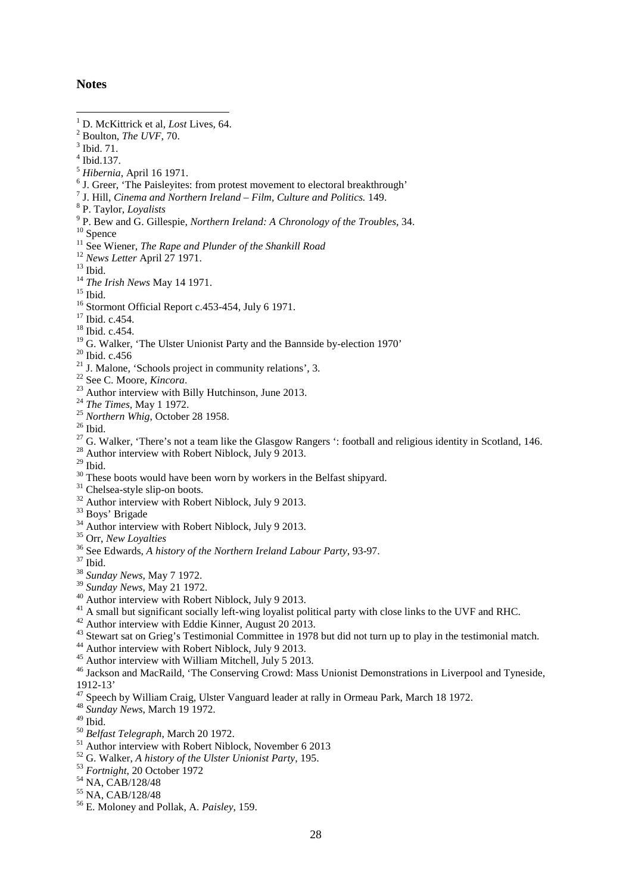### **Notes**

- <span id="page-27-1"></span> $^{3}$  Ibid. 71.<br> $^{4}$  Ibid. 137.
- 
- 
- <sup>5</sup> *Hibernia*, April 16 1971.<br>
<sup>6</sup> J. Greer, 'The Paisleyites: from protest movement to electoral breakthrough'<br>
<sup>7</sup> J. Hill, *Cinema and Northern Ireland Film, Culture and Politics*. 149.
- 
- 
- <sup>7</sup> J. Hill, *Cinema and Northern Ireland Film, Culture and Politics.* 149.<br><sup>8</sup> P. Taylor, *Loyalists*<br><sup>9</sup> P. Bew and G. Gillespie, *Northern Ireland: A Chronology of the Troubles*, 34.<br><sup>10</sup> Spence<br><sup>11</sup> See Wiener, *The*
- 
- 
- 
- 
- 
- 
- 
- 
- 
- 
- 
- 
- 
- 
- 
- 
- 
- <sup>19</sup> G. Walker, 'The Ulster Unionist Party and the Bannside by-election 1970'<br><sup>20</sup> Ibid. c.456<br><sup>21</sup> J. Malone, 'Schools project in community relations', 3.<br><sup>22</sup> See C. Moore, *Kincora*.<br><sup>23</sup> Author interview with Billy Hu
- 
- 
- 
- 
- 
- 
- 
- 
- <sup>30</sup> These boots would have been worn by workers in the Belfast shipyard.<br><sup>31</sup> Chelsea-style slip-on boots.<br><sup>32</sup> Author interview with Robert Niblock, July 9 2013.<br><sup>33</sup> Boys' Brigade<br><sup>34</sup> Author interview with Robert Nibl
- 
- 
- 
- 
- 
- 
- 
- 
- 
- <sup>40</sup> Author interview with Robert Niblock, July 9 2013.<br><sup>41</sup> A small but significant socially left-wing loyalist political party with close links to the UVF and RHC.<br><sup>42</sup> Author interview with Eddie Kinner, August 20 2013
- 1912-13' <sup>47</sup> Speech by William Craig, Ulster Vanguard leader at rally in Ormeau Park, March 18 1972. 48 *Sunday News*, March 19 1972.
- 
- 
- 
- 
- <sup>50</sup> *Belfast Telegraph*, March 20 1972.<br>
<sup>51</sup> Author interview with Robert Niblock, November 6 2013<br>
<sup>52</sup> G. Walker, *A history of the Ulster Unionist Party*, 195.<br>
<sup>53</sup> *Fortnight*, 20 October 1972<br>
<sup>54</sup> NA, CAB/128/48<br>
- 
- 
- 
- 

<span id="page-27-0"></span><sup>&</sup>lt;sup>1</sup> D. McKittrick et al, *Lost* Lives, 64.<br><sup>2</sup> Boulton, *The UVF*, 70.<br><sup>3</sup> Ibid. 71. 1